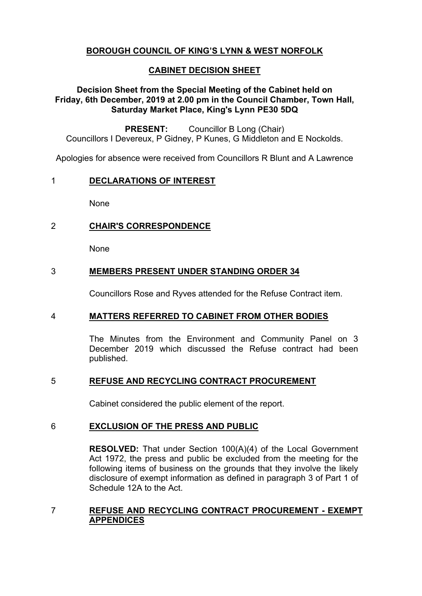# **BOROUGH COUNCIL OF KING'S LYNN & WEST NORFOLK**

## **CABINET DECISION SHEET**

## **Decision Sheet from the Special Meeting of the Cabinet held on Friday, 6th December, 2019 at 2.00 pm in the Council Chamber, Town Hall, Saturday Market Place, King's Lynn PE30 5DQ**

**PRESENT:** Councillor B Long (Chair) Councillors I Devereux, P Gidney, P Kunes, G Middleton and E Nockolds.

Apologies for absence were received from Councillors R Blunt and A Lawrence

#### 1 **DECLARATIONS OF INTEREST**

None

## 2 **CHAIR'S CORRESPONDENCE**

None

## 3 **MEMBERS PRESENT UNDER STANDING ORDER 34**

Councillors Rose and Ryves attended for the Refuse Contract item.

### 4 **MATTERS REFERRED TO CABINET FROM OTHER BODIES**

The Minutes from the Environment and Community Panel on 3 December 2019 which discussed the Refuse contract had been published.

### 5 **REFUSE AND RECYCLING CONTRACT PROCUREMENT**

Cabinet considered the public element of the report.

### 6 **EXCLUSION OF THE PRESS AND PUBLIC**

**RESOLVED:** That under Section 100(A)(4) of the Local Government Act 1972, the press and public be excluded from the meeting for the following items of business on the grounds that they involve the likely disclosure of exempt information as defined in paragraph 3 of Part 1 of Schedule 12A to the Act.

### 7 **REFUSE AND RECYCLING CONTRACT PROCUREMENT - EXEMPT APPENDICES**